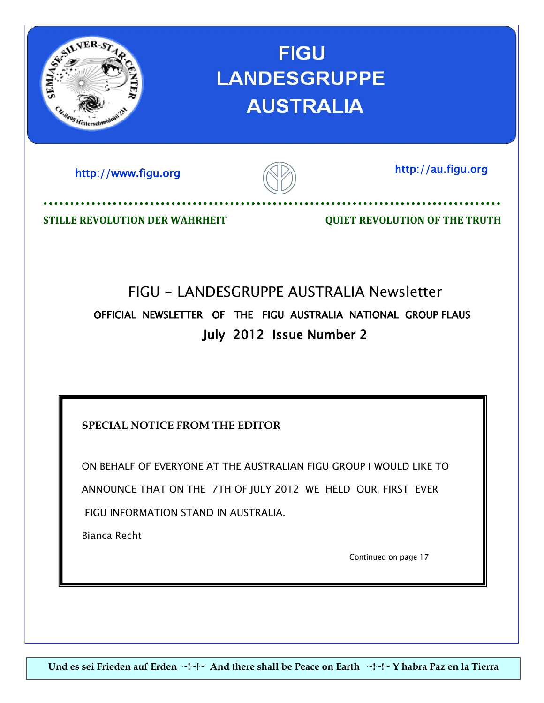

FIGU INFORMATION STAND IN AUSTRALIA.

Bianca Recht

Continued on page 17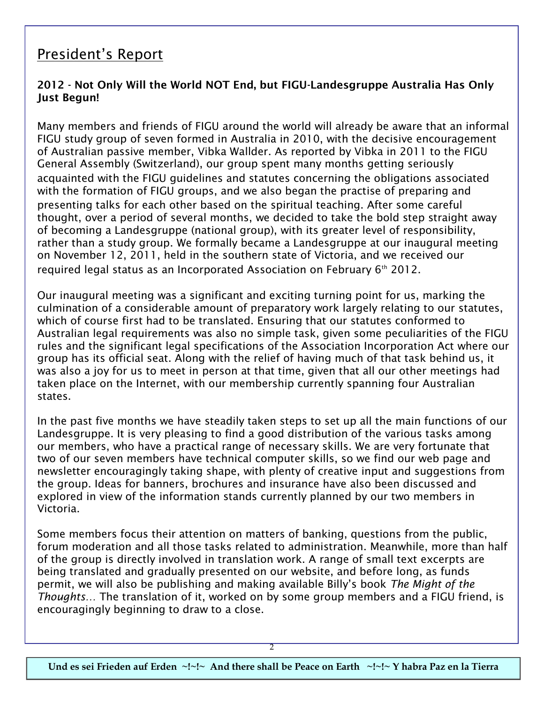# President's Report

## **2012 - Not Only Will the World NOT End, but FIGU-Landesgruppe Australia Has Only Just Begun!**

Many members and friends of FIGU around the world will already be aware that an informal FIGU study group of seven formed in Australia in 2010, with the decisive encouragement of Australian passive member, Vibka Wallder. As reported by Vibka in 2011 to the FIGU General Assembly (Switzerland), our group spent many months getting seriously acquainted with the FIGU guidelines and statutes concerning the obligations associated with the formation of FIGU groups, and we also began the practise of preparing and presenting talks for each other based on the spiritual teaching. After some careful thought, over a period of several months, we decided to take the bold step straight away of becoming a Landesgruppe (national group), with its greater level of responsibility, rather than a study group. We formally became a Landesgruppe at our inaugural meeting on November 12, 2011, held in the southern state of Victoria, and we received our required legal status as an Incorporated Association on February  $6<sup>th</sup>$  2012.

Our inaugural meeting was a significant and exciting turning point for us, marking the culmination of a considerable amount of preparatory work largely relating to our statutes, which of course first had to be translated. Ensuring that our statutes conformed to Australian legal requirements was also no simple task, given some peculiarities of the FIGU rules and the significant legal specifications of the Association Incorporation Act where our group has its official seat. Along with the relief of having much of that task behind us, it was also a joy for us to meet in person at that time, given that all our other meetings had taken place on the Internet, with our membership currently spanning four Australian states.

In the past five months we have steadily taken steps to set up all the main functions of our Landesgruppe. It is very pleasing to find a good distribution of the various tasks among our members, who have a practical range of necessary skills. We are very fortunate that two of our seven members have technical computer skills, so we find our web page and newsletter encouragingly taking shape, with plenty of creative input and suggestions from the group. Ideas for banners, brochures and insurance have also been discussed and explored in view of the information stands currently planned by our two members in Victoria.

Some members focus their attention on matters of banking, questions from the public, forum moderation and all those tasks related to administration. Meanwhile, more than half of the group is directly involved in translation work. A range of small text excerpts are being translated and gradually presented on our website, and before long, as funds permit, we will also be publishing and making available Billy's book *The Might of the Thoughts…* The translation of it, worked on by some group members and a FIGU friend, is encouragingly beginning to draw to a close.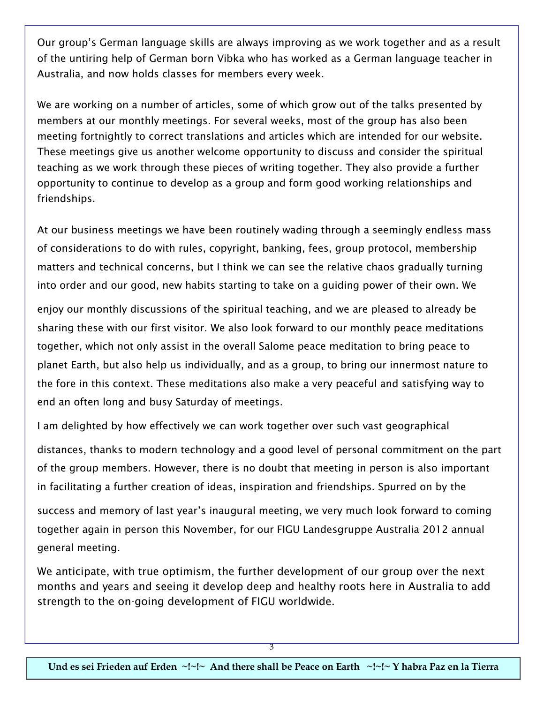Our group's German language skills are always improving as we work together and as a result of the untiring help of German born Vibka who has worked as a German language teacher in Australia, and now holds classes for members every week.

We are working on a number of articles, some of which grow out of the talks presented by members at our monthly meetings. For several weeks, most of the group has also been meeting fortnightly to correct translations and articles which are intended for our website. These meetings give us another welcome opportunity to discuss and consider the spiritual teaching as we work through these pieces of writing together. They also provide a further opportunity to continue to develop as a group and form good working relationships and friendships.

At our business meetings we have been routinely wading through a seemingly endless mass of considerations to do with rules, copyright, banking, fees, group protocol, membership matters and technical concerns, but I think we can see the relative chaos gradually turning into order and our good, new habits starting to take on a guiding power of their own. We

enjoy our monthly discussions of the spiritual teaching, and we are pleased to already be sharing these with our first visitor. We also look forward to our monthly peace meditations together, which not only assist in the overall Salome peace meditation to bring peace to planet Earth, but also help us individually, and as a group, to bring our innermost nature to the fore in this context. These meditations also make a very peaceful and satisfying way to end an often long and busy Saturday of meetings.

I am delighted by how effectively we can work together over such vast geographical

distances, thanks to modern technology and a good level of personal commitment on the part of the group members. However, there is no doubt that meeting in person is also important in facilitating a further creation of ideas, inspiration and friendships. Spurred on by the

success and memory of last year's inaugural meeting, we very much look forward to coming together again in person this November, for our FIGU Landesgruppe Australia 2012 annual general meeting.

We anticipate, with true optimism, the further development of our group over the next months and years and seeing it develop deep and healthy roots here in Australia to add strength to the on-going development of FIGU worldwide.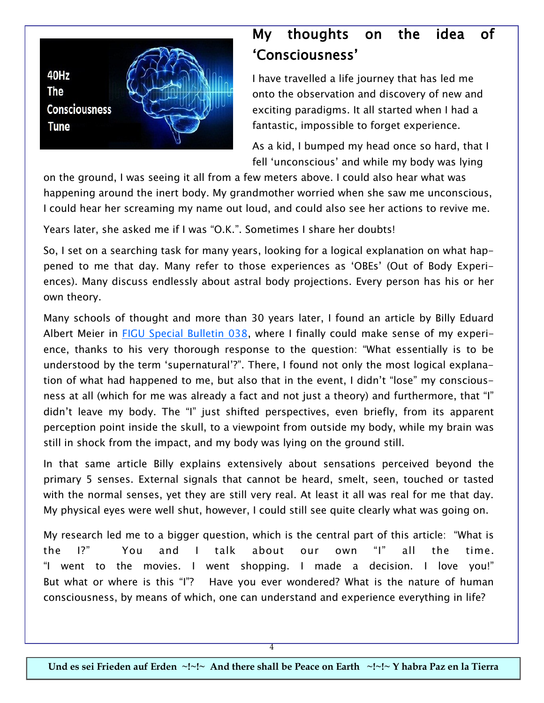

# My thoughts on the idea of 'Consciousness'

I have travelled a life journey that has led me onto the observation and discovery of new and exciting paradigms. It all started when I had a fantastic, impossible to forget experience.

As a kid, I bumped my head once so hard, that I fell 'unconscious' and while my body was lying

on the ground, I was seeing it all from a few meters above. I could also hear what was happening around the inert body. My grandmother worried when she saw me unconscious, I could hear her screaming my name out loud, and could also see her actions to revive me.

Years later, she asked me if I was "O.K.". Sometimes I share her doubts!

So, I set on a searching task for many years, looking for a logical explanation on what happened to me that day. Many refer to those experiences as 'OBEs' (Out of Body Experiences). Many discuss endlessly about astral body projections. Every person has his or her own theory.

Many schools of thought and more than 30 years later, I found an article by Billy Eduard Albert Meier in [FIGU Special Bulletin 038,](http://au.figu.org/supernatural.html) where I finally could make sense of my experience, thanks to his very thorough response to the question: "What essentially is to be understood by the term 'supernatural'?". There, I found not only the most logical explanation of what had happened to me, but also that in the event, I didn't "lose" my consciousness at all (which for me was already a fact and not just a theory) and furthermore, that "I" didn't leave my body. The "I" just shifted perspectives, even briefly, from its apparent perception point inside the skull, to a viewpoint from outside my body, while my brain was still in shock from the impact, and my body was lying on the ground still.

In that same article Billy explains extensively about sensations perceived beyond the primary 5 senses. External signals that cannot be heard, smelt, seen, touched or tasted with the normal senses, yet they are still very real. At least it all was real for me that day. My physical eyes were well shut, however, I could still see quite clearly what was going on.

My research led me to a bigger question, which is the central part of this article: "What is the I?" You and I talk about our own "I" all the time. "I went to the movies. I went shopping. I made a decision. I love you!" But what or where is this "I"? Have you ever wondered? What is the nature of human consciousness, by means of which, one can understand and experience everything in life?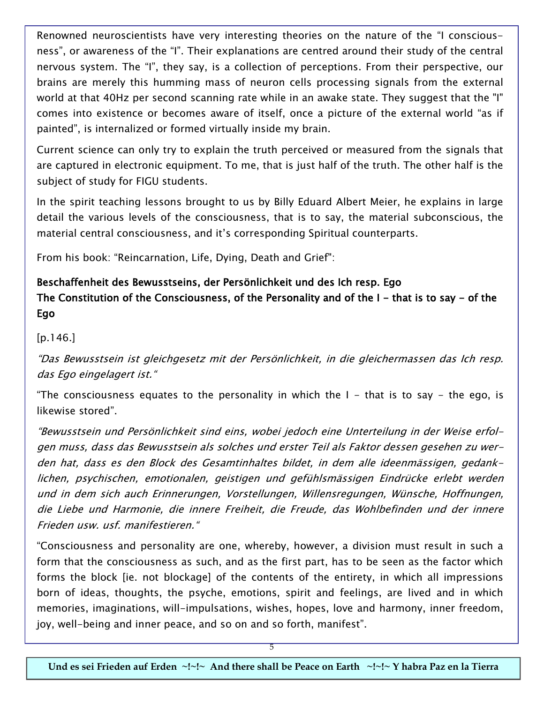Renowned neuroscientists have very interesting theories on the nature of the "I consciousness", or awareness of the "I". Their explanations are centred around their study of the central nervous system. The "I", they say, is a collection of perceptions. From their perspective, our brains are merely this humming mass of neuron cells processing signals from the external world at that 40Hz per second scanning rate while in an awake state. They suggest that the "I" comes into existence or becomes aware of itself, once a picture of the external world "as if painted", is internalized or formed virtually inside my brain.

Current science can only try to explain the truth perceived or measured from the signals that are captured in electronic equipment. To me, that is just half of the truth. The other half is the subject of study for FIGU students.

In the spirit teaching lessons brought to us by Billy Eduard Albert Meier, he explains in large detail the various levels of the consciousness, that is to say, the material subconscious, the material central consciousness, and it's corresponding Spiritual counterparts.

From his book: "Reincarnation, Life, Dying, Death and Grief":

# Beschaffenheit des Bewusstseins, der Persönlichkeit und des Ich resp. Ego The Constitution of the Consciousness, of the Personality and of the  $I$  - that is to say - of the Ego

[p.146.]

"Das Bewusstsein ist gleichgesetz mit der Persönlichkeit, in die gleichermassen das Ich resp. das Ego eingelagert ist."

"The consciousness equates to the personality in which the  $I$  - that is to say - the ego, is likewise stored".

"Bewusstsein und Persönlichkeit sind eins, wobei jedoch eine Unterteilung in der Weise erfolgen muss, dass das Bewusstsein als solches und erster Teil als Faktor dessen gesehen zu werden hat, dass es den Block des Gesamtinhaltes bildet, in dem alle ideenmässigen, gedanklichen, psychischen, emotionalen, geistigen und gefühlsmässigen Eindrücke erlebt werden und in dem sich auch Erinnerungen, Vorstellungen, Willensregungen, Wünsche, Hoffnungen, die Liebe und Harmonie, die innere Freiheit, die Freude, das Wohlbefinden und der innere Frieden usw. usf. manifestieren."

"Consciousness and personality are one, whereby, however, a division must result in such a form that the consciousness as such, and as the first part, has to be seen as the factor which forms the block [ie. not blockage] of the contents of the entirety, in which all impressions born of ideas, thoughts, the psyche, emotions, spirit and feelings, are lived and in which memories, imaginations, will-impulsations, wishes, hopes, love and harmony, inner freedom, joy, well-being and inner peace, and so on and so forth, manifest".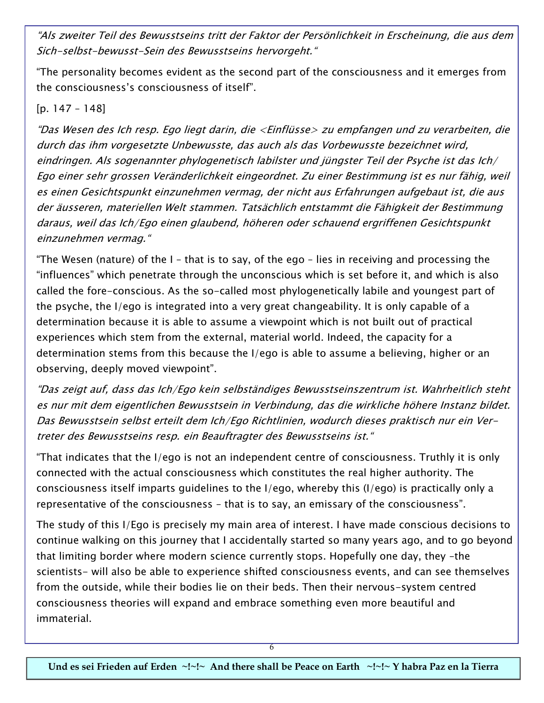"Als zweiter Teil des Bewusstseins tritt der Faktor der Persönlichkeit in Erscheinung, die aus dem Sich-selbst-bewusst-Sein des Bewusstseins hervorgeht."

"The personality becomes evident as the second part of the consciousness and it emerges from the consciousness's consciousness of itself".

#### [p. 147 – 148]

"Das Wesen des Ich resp. Ego liegt darin, die <Einflüsse> zu empfangen und zu verarbeiten, die durch das ihm vorgesetzte Unbewusste, das auch als das Vorbewusste bezeichnet wird, eindringen. Als sogenannter phylogenetisch labilster und jüngster Teil der Psyche ist das Ich/ Ego einer sehr grossen Veränderlichkeit eingeordnet. Zu einer Bestimmung ist es nur fähig, weil es einen Gesichtspunkt einzunehmen vermag, der nicht aus Erfahrungen aufgebaut ist, die aus der äusseren, materiellen Welt stammen. Tatsächlich entstammt die Fähigkeit der Bestimmung daraus, weil das Ich/Ego einen glaubend, höheren oder schauend ergriffenen Gesichtspunkt einzunehmen vermag."

"The Wesen (nature) of the I – that is to say, of the ego – lies in receiving and processing the "influences" which penetrate through the unconscious which is set before it, and which is also called the fore-conscious. As the so-called most phylogenetically labile and youngest part of the psyche, the I/ego is integrated into a very great changeability. It is only capable of a determination because it is able to assume a viewpoint which is not built out of practical experiences which stem from the external, material world. Indeed, the capacity for a determination stems from this because the I/ego is able to assume a believing, higher or an observing, deeply moved viewpoint".

"Das zeigt auf, dass das Ich/Ego kein selbständiges Bewusstseinszentrum ist. Wahrheitlich steht es nur mit dem eigentlichen Bewusstsein in Verbindung, das die wirkliche höhere Instanz bildet. Das Bewusstsein selbst erteilt dem Ich/Ego Richtlinien, wodurch dieses praktisch nur ein Vertreter des Bewusstseins resp. ein Beauftragter des Bewusstseins ist."

"That indicates that the I/ego is not an independent centre of consciousness. Truthly it is only connected with the actual consciousness which constitutes the real higher authority. The consciousness itself imparts guidelines to the I/ego, whereby this (I/ego) is practically only a representative of the consciousness – that is to say, an emissary of the consciousness".

The study of this I/Ego is precisely my main area of interest. I have made conscious decisions to continue walking on this journey that I accidentally started so many years ago, and to go beyond that limiting border where modern science currently stops. Hopefully one day, they –the scientists- will also be able to experience shifted consciousness events, and can see themselves from the outside, while their bodies lie on their beds. Then their nervous-system centred consciousness theories will expand and embrace something even more beautiful and immaterial.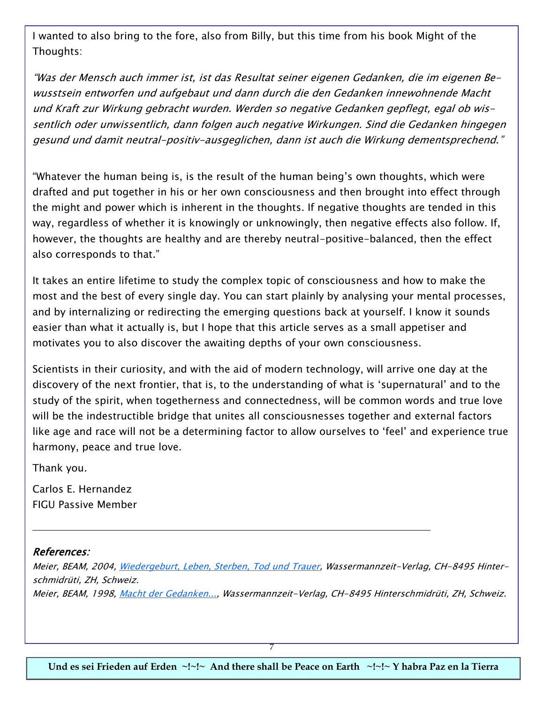I wanted to also bring to the fore, also from Billy, but this time from his book Might of the Thoughts:

"Was der Mensch auch immer ist, ist das Resultat seiner eigenen Gedanken, die im eigenen Bewusstsein entworfen und aufgebaut und dann durch die den Gedanken innewohnende Macht und Kraft zur Wirkung gebracht wurden. Werden so negative Gedanken gepflegt, egal ob wissentlich oder unwissentlich, dann folgen auch negative Wirkungen. Sind die Gedanken hingegen gesund und damit neutral-positiv-ausgeglichen, dann ist auch die Wirkung dementsprechend."

"Whatever the human being is, is the result of the human being's own thoughts, which were drafted and put together in his or her own consciousness and then brought into effect through the might and power which is inherent in the thoughts. If negative thoughts are tended in this way, regardless of whether it is knowingly or unknowingly, then negative effects also follow. If, however, the thoughts are healthy and are thereby neutral-positive-balanced, then the effect also corresponds to that."

It takes an entire lifetime to study the complex topic of consciousness and how to make the most and the best of every single day. You can start plainly by analysing your mental processes, and by internalizing or redirecting the emerging questions back at yourself. I know it sounds easier than what it actually is, but I hope that this article serves as a small appetiser and motivates you to also discover the awaiting depths of your own consciousness.

Scientists in their curiosity, and with the aid of modern technology, will arrive one day at the discovery of the next frontier, that is, to the understanding of what is 'supernatural' and to the study of the spirit, when togetherness and connectedness, will be common words and true love will be the indestructible bridge that unites all consciousnesses together and external factors like age and race will not be a determining factor to allow ourselves to 'feel' and experience true harmony, peace and true love.

Thank you.

Carlos E. Hernandez FIGU Passive Member

#### References:

Meier, BEAM, 2004, [Wiedergeburt, Leben, Sterben, Tod und Trauer,](https://figu.org/shop/product_info.php?products_id=323) Wassermannzeit-Verlag, CH-8495 Hinterschmidrüti, ZH, Schweiz. Meier, BEAM, 1998, <u>Macht der Gedanken...</u>, Wassermannzeit-Verlag, CH-8495 Hinterschmidrüti, ZH, Schweiz.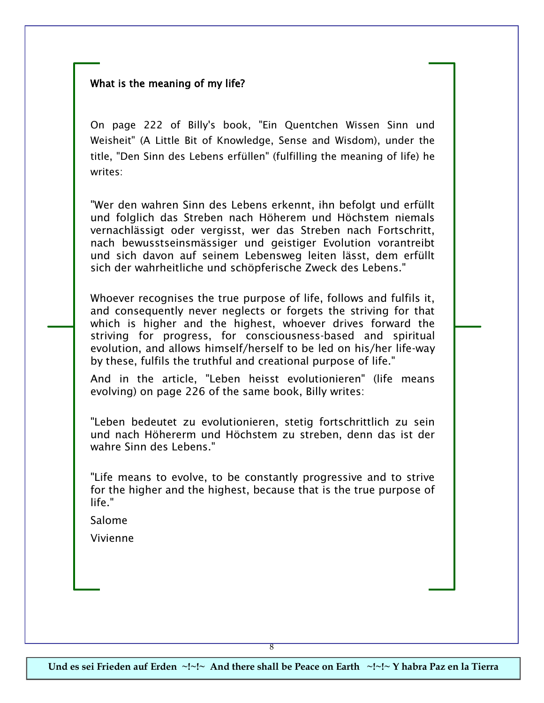#### What is the meaning of my life?

On page 222 of Billy's book, "Ein Quentchen Wissen Sinn und Weisheit" (A Little Bit of Knowledge, Sense and Wisdom), under the title, "Den Sinn des Lebens erfüllen" (fulfilling the meaning of life) he writes:

"Wer den wahren Sinn des Lebens erkennt, ihn befolgt und erfüllt und folglich das Streben nach Höherem und Höchstem niemals vernachlässigt oder vergisst, wer das Streben nach Fortschritt, nach bewusstseinsmässiger und geistiger Evolution vorantreibt und sich davon auf seinem Lebensweg leiten lässt, dem erfüllt sich der wahrheitliche und schöpferische Zweck des Lebens."

Whoever recognises the true purpose of life, follows and fulfils it, and consequently never neglects or forgets the striving for that which is higher and the highest, whoever drives forward the striving for progress, for consciousness-based and spiritual evolution, and allows himself/herself to be led on his/her life-way by these, fulfils the truthful and creational purpose of life."

And in the article, "Leben heisst evolutionieren" (life means evolving) on page 226 of the same book, Billy writes:

"Leben bedeutet zu evolutionieren, stetig fortschrittlich zu sein und nach Höhererm und Höchstem zu streben, denn das ist der wahre Sinn des Lebens."

"Life means to evolve, to be constantly progressive and to strive for the higher and the highest, because that is the true purpose of life."

Salome

Vivienne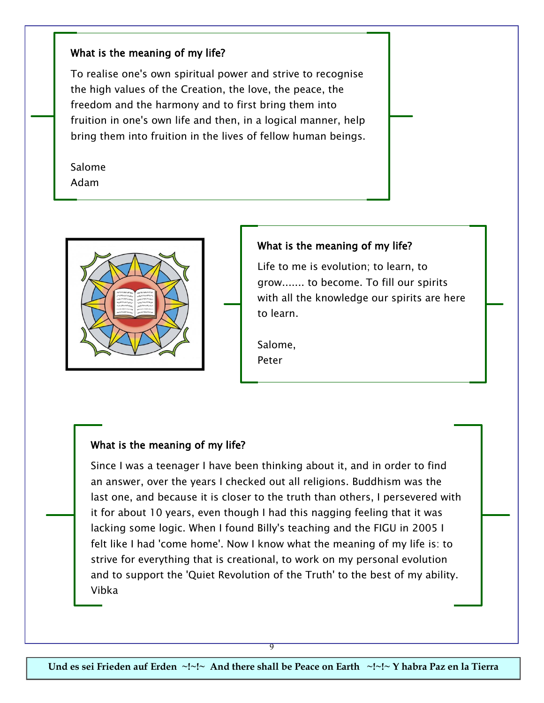#### What is the meaning of my life?

To realise one's own spiritual power and strive to recognise the high values of the Creation, the love, the peace, the freedom and the harmony and to first bring them into fruition in one's own life and then, in a logical manner, help bring them into fruition in the lives of fellow human beings.

Salome Adam



#### What is the meaning of my life?

Life to me is evolution; to learn, to grow....... to become. To fill our spirits with all the knowledge our spirits are here to learn.

Salome, Peter

#### What is the meaning of my life?

Since I was a teenager I have been thinking about it, and in order to find an answer, over the years I checked out all religions. Buddhism was the last one, and because it is closer to the truth than others, I persevered with it for about 10 years, even though I had this nagging feeling that it was lacking some logic. When I found Billy's teaching and the FIGU in 2005 I felt like I had 'come home'. Now I know what the meaning of my life is: to strive for everything that is creational, to work on my personal evolution and to support the 'Quiet Revolution of the Truth' to the best of my ability. Vibka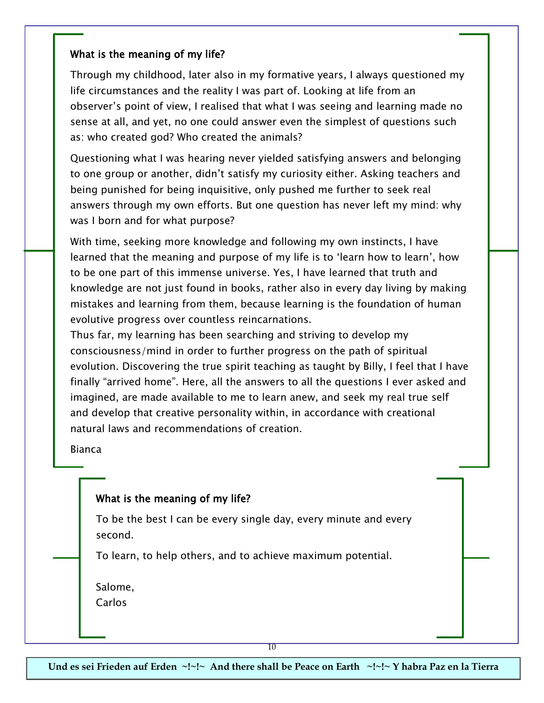### What is the meaning of my life?

Through my childhood, later also in my formative years, I always questioned my life circumstances and the reality I was part of. Looking at life from an observer's point of view, I realised that what I was seeing and learning made no sense at all, and yet, no one could answer even the simplest of questions such as: who created god? Who created the animals?

Questioning what I was hearing never yielded satisfying answers and belonging to one group or another, didn't satisfy my curiosity either. Asking teachers and being punished for being inquisitive, only pushed me further to seek real answers through my own efforts. But one question has never left my mind: why was I born and for what purpose?

With time, seeking more knowledge and following my own instincts, I have learned that the meaning and purpose of my life is to 'learn how to learn', how to be one part of this immense universe. Yes, I have learned that truth and knowledge are not just found in books, rather also in every day living by making mistakes and learning from them, because learning is the foundation of human evolutive progress over countless reincarnations.

Thus far, my learning has been searching and striving to develop my consciousness/mind in order to further progress on the path of spiritual evolution. Discovering the true spirit teaching as taught by Billy, I feel that I have finally "arrived home". Here, all the answers to all the questions I ever asked and imagined, are made available to me to learn anew, and seek my real true self and develop that creative personality within, in accordance with creational natural laws and recommendations of creation.

Bianca

## What is the meaning of my life?

To be the best I can be every single day, every minute and every second.

To learn, to help others, and to achieve maximum potential.

Salome, Carlos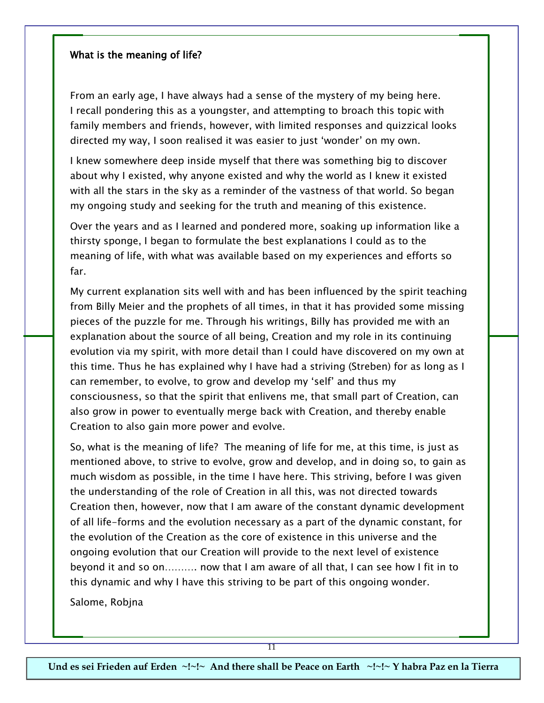#### What is the meaning of life?

From an early age, I have always had a sense of the mystery of my being here. I recall pondering this as a youngster, and attempting to broach this topic with family members and friends, however, with limited responses and quizzical looks directed my way, I soon realised it was easier to just 'wonder' on my own.

I knew somewhere deep inside myself that there was something big to discover about why I existed, why anyone existed and why the world as I knew it existed with all the stars in the sky as a reminder of the vastness of that world. So began my ongoing study and seeking for the truth and meaning of this existence.

Over the years and as I learned and pondered more, soaking up information like a thirsty sponge, I began to formulate the best explanations I could as to the meaning of life, with what was available based on my experiences and efforts so far.

My current explanation sits well with and has been influenced by the spirit teaching from Billy Meier and the prophets of all times, in that it has provided some missing pieces of the puzzle for me. Through his writings, Billy has provided me with an explanation about the source of all being, Creation and my role in its continuing evolution via my spirit, with more detail than I could have discovered on my own at this time. Thus he has explained why I have had a striving (Streben) for as long as I can remember, to evolve, to grow and develop my 'self' and thus my consciousness, so that the spirit that enlivens me, that small part of Creation, can also grow in power to eventually merge back with Creation, and thereby enable Creation to also gain more power and evolve.

So, what is the meaning of life? The meaning of life for me, at this time, is just as mentioned above, to strive to evolve, grow and develop, and in doing so, to gain as much wisdom as possible, in the time I have here. This striving, before I was given the understanding of the role of Creation in all this, was not directed towards Creation then, however, now that I am aware of the constant dynamic development of all life-forms and the evolution necessary as a part of the dynamic constant, for the evolution of the Creation as the core of existence in this universe and the ongoing evolution that our Creation will provide to the next level of existence beyond it and so on………. now that I am aware of all that, I can see how I fit in to this dynamic and why I have this striving to be part of this ongoing wonder.

Salome, Robjna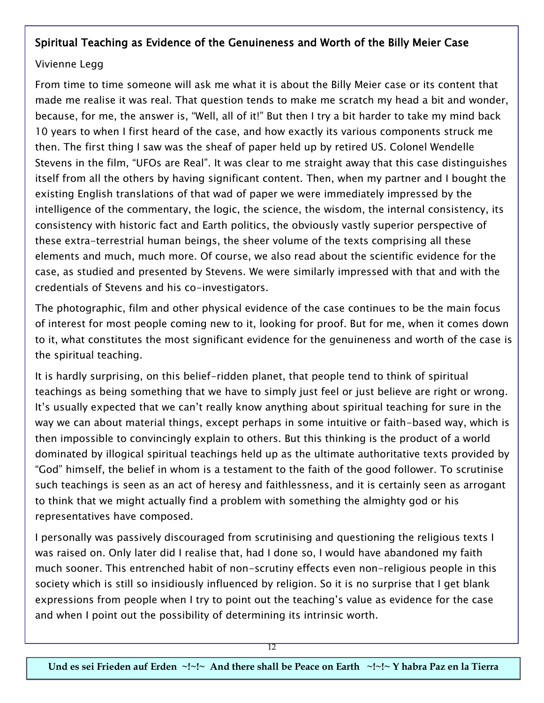# Spiritual Teaching as Evidence of the Genuineness and Worth of the Billy Meier Case

### Vivienne Legg

From time to time someone will ask me what it is about the Billy Meier case or its content that made me realise it was real. That question tends to make me scratch my head a bit and wonder, because, for me, the answer is, "Well, all of it!" But then I try a bit harder to take my mind back 10 years to when I first heard of the case, and how exactly its various components struck me then. The first thing I saw was the sheaf of paper held up by retired US. Colonel Wendelle Stevens in the film, "UFOs are Real". It was clear to me straight away that this case distinguishes itself from all the others by having significant content. Then, when my partner and I bought the existing English translations of that wad of paper we were immediately impressed by the intelligence of the commentary, the logic, the science, the wisdom, the internal consistency, its consistency with historic fact and Earth politics, the obviously vastly superior perspective of these extra-terrestrial human beings, the sheer volume of the texts comprising all these elements and much, much more. Of course, we also read about the scientific evidence for the case, as studied and presented by Stevens. We were similarly impressed with that and with the credentials of Stevens and his co-investigators.

The photographic, film and other physical evidence of the case continues to be the main focus of interest for most people coming new to it, looking for proof. But for me, when it comes down to it, what constitutes the most significant evidence for the genuineness and worth of the case is the spiritual teaching.

It is hardly surprising, on this belief-ridden planet, that people tend to think of spiritual teachings as being something that we have to simply just feel or just believe are right or wrong. It's usually expected that we can't really know anything about spiritual teaching for sure in the way we can about material things, except perhaps in some intuitive or faith-based way, which is then impossible to convincingly explain to others. But this thinking is the product of a world dominated by illogical spiritual teachings held up as the ultimate authoritative texts provided by "God" himself, the belief in whom is a testament to the faith of the good follower. To scrutinise such teachings is seen as an act of heresy and faithlessness, and it is certainly seen as arrogant to think that we might actually find a problem with something the almighty god or his representatives have composed.

I personally was passively discouraged from scrutinising and questioning the religious texts I was raised on. Only later did I realise that, had I done so, I would have abandoned my faith much sooner. This entrenched habit of non-scrutiny effects even non-religious people in this society which is still so insidiously influenced by religion. So it is no surprise that I get blank expressions from people when I try to point out the teaching's value as evidence for the case and when I point out the possibility of determining its intrinsic worth.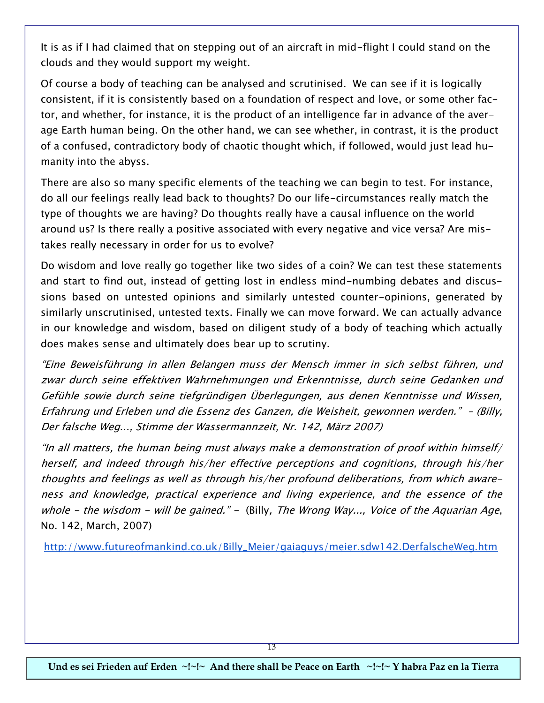It is as if I had claimed that on stepping out of an aircraft in mid-flight I could stand on the clouds and they would support my weight.

Of course a body of teaching can be analysed and scrutinised. We can see if it is logically consistent, if it is consistently based on a foundation of respect and love, or some other factor, and whether, for instance, it is the product of an intelligence far in advance of the average Earth human being. On the other hand, we can see whether, in contrast, it is the product of a confused, contradictory body of chaotic thought which, if followed, would just lead humanity into the abyss.

There are also so many specific elements of the teaching we can begin to test. For instance, do all our feelings really lead back to thoughts? Do our life-circumstances really match the type of thoughts we are having? Do thoughts really have a causal influence on the world around us? Is there really a positive associated with every negative and vice versa? Are mistakes really necessary in order for us to evolve?

Do wisdom and love really go together like two sides of a coin? We can test these statements and start to find out, instead of getting lost in endless mind-numbing debates and discussions based on untested opinions and similarly untested counter-opinions, generated by similarly unscrutinised, untested texts. Finally we can move forward. We can actually advance in our knowledge and wisdom, based on diligent study of a body of teaching which actually does makes sense and ultimately does bear up to scrutiny.

"Eine Beweisführung in allen Belangen muss der Mensch immer in sich selbst führen, und zwar durch seine effektiven Wahrnehmungen und Erkenntnisse, durch seine Gedanken und Gefühle sowie durch seine tiefgründigen Überlegungen, aus denen Kenntnisse und Wissen, Erfahrung und Erleben und die Essenz des Ganzen, die Weisheit, gewonnen werden." – (Billy, Der falsche Weg..., Stimme der Wassermannzeit, Nr. 142, März 2007)

"In all matters, the human being must always make a demonstration of proof within himself/ herself, and indeed through his/her effective perceptions and cognitions, through his/her thoughts and feelings as well as through his/her profound deliberations, from which awareness and knowledge, practical experience and living experience, and the essence of the whole - the wisdom - will be gained." - (Billy, The Wrong Way..., Voice of the Aquarian Age, No. 142, March, 2007)

http://www.futureofmankind.co.uk/Billy\_Meier/gaiaguys/meier.sdw142.DerfalscheWeg.htm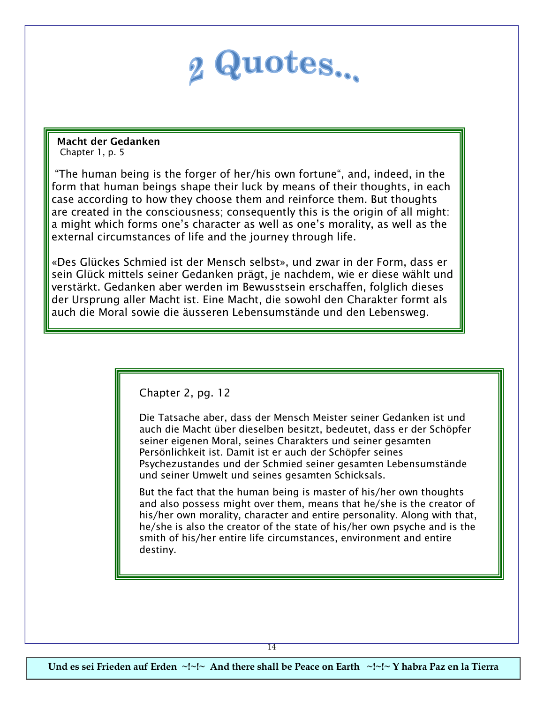

 **Macht der Gedanken**  Chapter 1, p. 5

"The human being is the forger of her/his own fortune", and, indeed, in the form that human beings shape their luck by means of their thoughts, in each case according to how they choose them and reinforce them. But thoughts are created in the consciousness; consequently this is the origin of all might: a might which forms one's character as well as one's morality, as well as the external circumstances of life and the journey through life.

«Des Glückes Schmied ist der Mensch selbst», und zwar in der Form, dass er sein Glück mittels seiner Gedanken prägt, je nachdem, wie er diese wählt und verstärkt. Gedanken aber werden im Bewusstsein erschaffen, folglich dieses der Ursprung aller Macht ist. Eine Macht, die sowohl den Charakter formt als auch die Moral sowie die äusseren Lebensumstände und den Lebensweg.

Chapter 2, pg. 12

Die Tatsache aber, dass der Mensch Meister seiner Gedanken ist und auch die Macht über dieselben besitzt, bedeutet, dass er der Schöpfer seiner eigenen Moral, seines Charakters und seiner gesamten Persönlichkeit ist. Damit ist er auch der Schöpfer seines Psychezustandes und der Schmied seiner gesamten Lebensumstände und seiner Umwelt und seines gesamten Schicksals.

But the fact that the human being is master of his/her own thoughts and also possess might over them, means that he/she is the creator of his/her own morality, character and entire personality. Along with that, he/she is also the creator of the state of his/her own psyche and is the smith of his/her entire life circumstances, environment and entire destiny.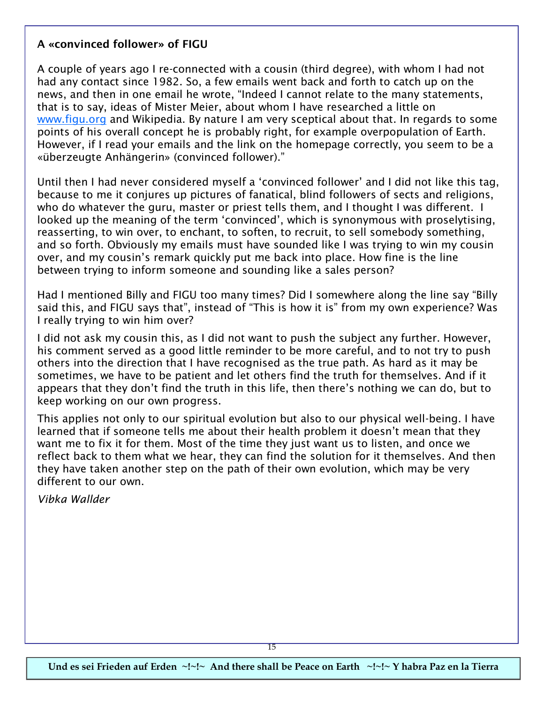#### **A «convinced follower» of FIGU**

A couple of years ago I re-connected with a cousin (third degree), with whom I had not had any contact since 1982. So, a few emails went back and forth to catch up on the news, and then in one email he wrote, "Indeed I cannot relate to the many statements, that is to say, ideas of Mister Meier, about whom I have researched a little on [www.figu.org](http://www.figu.org) and Wikipedia. By nature I am very sceptical about that. In regards to some points of his overall concept he is probably right, for example overpopulation of Earth. However, if I read your emails and the link on the homepage correctly, you seem to be a «überzeugte Anhängerin» (convinced follower)."

Until then I had never considered myself a 'convinced follower' and I did not like this tag, because to me it conjures up pictures of fanatical, blind followers of sects and religions, who do whatever the guru, master or priest tells them, and I thought I was different. I looked up the meaning of the term 'convinced', which is synonymous with proselytising, reasserting, to win over, to enchant, to soften, to recruit, to sell somebody something, and so forth. Obviously my emails must have sounded like I was trying to win my cousin over, and my cousin's remark quickly put me back into place. How fine is the line between trying to inform someone and sounding like a sales person?

Had I mentioned Billy and FIGU too many times? Did I somewhere along the line say "Billy said this, and FIGU says that", instead of "This is how it is" from my own experience? Was I really trying to win him over?

I did not ask my cousin this, as I did not want to push the subject any further. However, his comment served as a good little reminder to be more careful, and to not try to push others into the direction that I have recognised as the true path. As hard as it may be sometimes, we have to be patient and let others find the truth for themselves. And if it appears that they don't find the truth in this life, then there's nothing we can do, but to keep working on our own progress.

This applies not only to our spiritual evolution but also to our physical well-being. I have learned that if someone tells me about their health problem it doesn't mean that they want me to fix it for them. Most of the time they just want us to listen, and once we reflect back to them what we hear, they can find the solution for it themselves. And then they have taken another step on the path of their own evolution, which may be very different to our own.

*Vibka Wallder*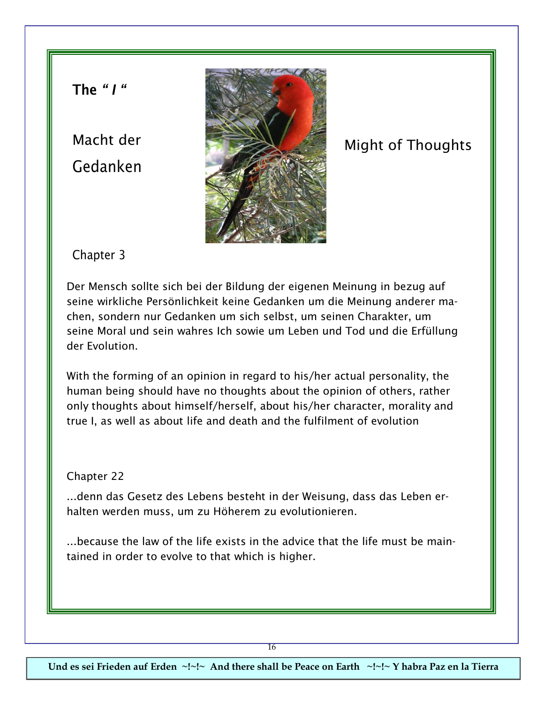**The** *" I "*

Macht der Gedanken



# Might of Thoughts

Chapter 3

Der Mensch sollte sich bei der Bildung der eigenen Meinung in bezug auf seine wirkliche Persönlichkeit keine Gedanken um die Meinung anderer machen, sondern nur Gedanken um sich selbst, um seinen Charakter, um seine Moral und sein wahres Ich sowie um Leben und Tod und die Erfüllung der Evolution.

With the forming of an opinion in regard to his/her actual personality, the human being should have no thoughts about the opinion of others, rather only thoughts about himself/herself, about his/her character, morality and true I, as well as about life and death and the fulfilment of evolution

Chapter 22

...denn das Gesetz des Lebens besteht in der Weisung, dass das Leben erhalten werden muss, um zu Höherem zu evolutionieren.

...because the law of the life exists in the advice that the life must be maintained in order to evolve to that which is higher.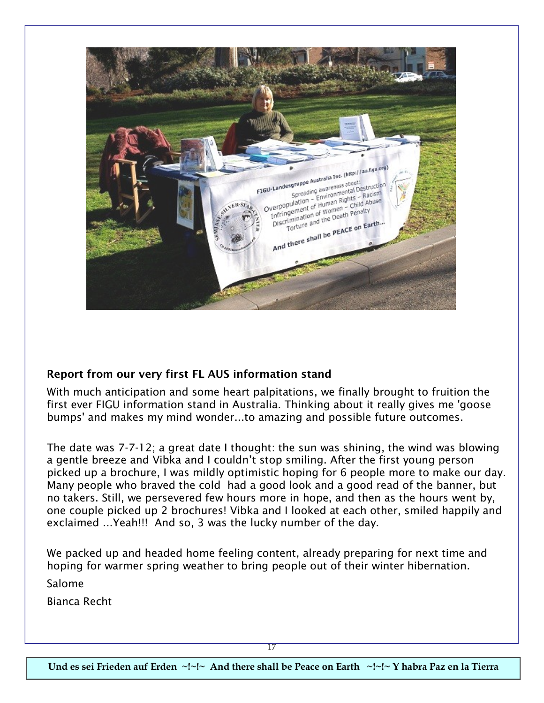

#### **Report from our very first FL AUS information stand**

With much anticipation and some heart palpitations, we finally brought to fruition the first ever FIGU information stand in Australia. Thinking about it really gives me 'goose bumps' and makes my mind wonder...to amazing and possible future outcomes.

The date was 7-7-12; a great date I thought: the sun was shining, the wind was blowing a gentle breeze and Vibka and I couldn't stop smiling. After the first young person picked up a brochure, I was mildly optimistic hoping for 6 people more to make our day. Many people who braved the cold had a good look and a good read of the banner, but no takers. Still, we persevered few hours more in hope, and then as the hours went by, one couple picked up 2 brochures! Vibka and I looked at each other, smiled happily and exclaimed ...Yeah!!! And so, 3 was the lucky number of the day.

We packed up and headed home feeling content, already preparing for next time and hoping for warmer spring weather to bring people out of their winter hibernation.

Salome

Bianca Recht